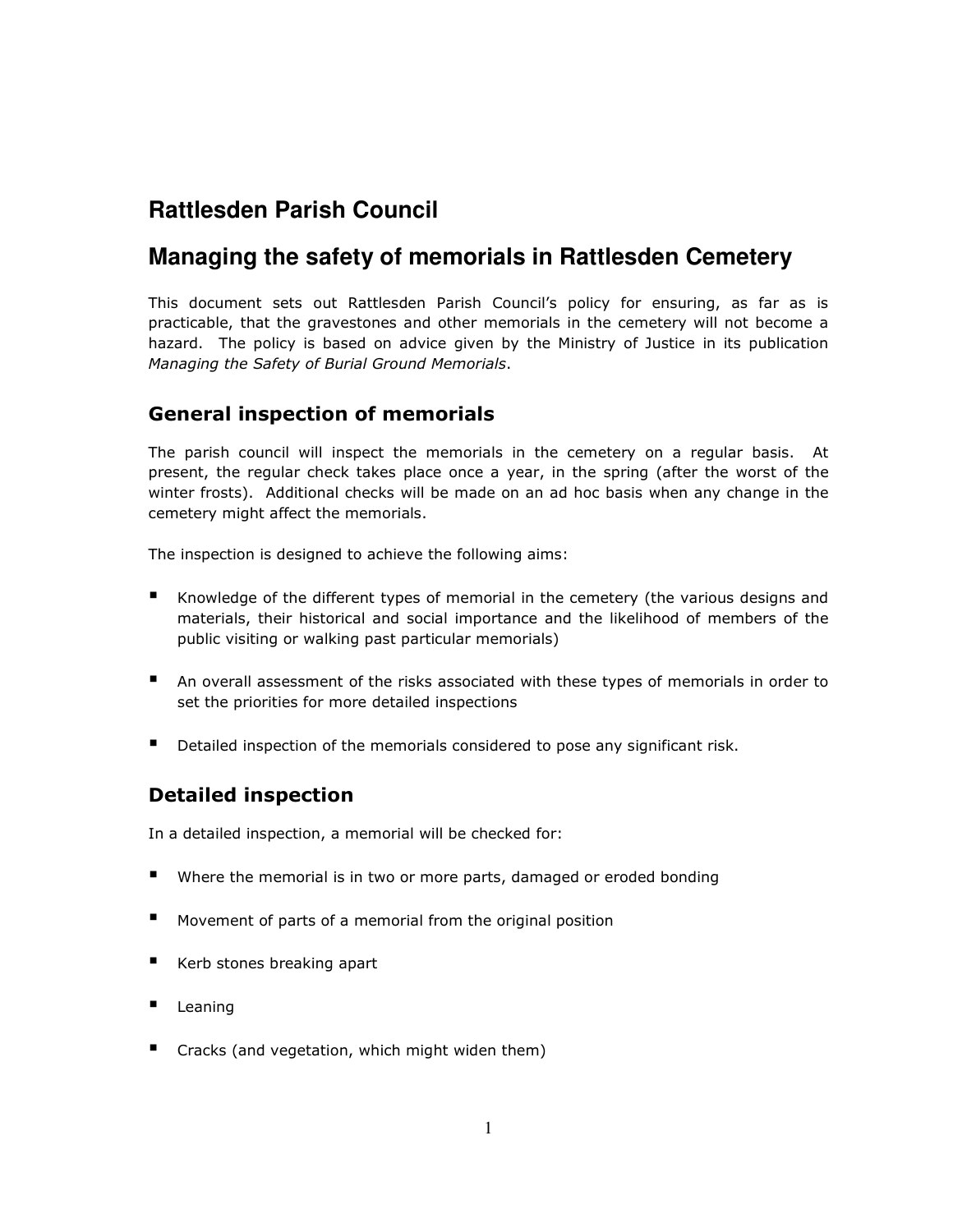# **Rattlesden Parish Council**

# **Managing the safety of memorials in Rattlesden Cemetery**

This document sets out Rattlesden Parish Council's policy for ensuring, as far as is practicable, that the gravestones and other memorials in the cemetery will not become a hazard. The policy is based on advice given by the Ministry of Justice in its publication Managing the Safety of Burial Ground Memorials.

### General inspection of memorials

The parish council will inspect the memorials in the cemetery on a regular basis. At present, the regular check takes place once a year, in the spring (after the worst of the winter frosts). Additional checks will be made on an ad hoc basis when any change in the cemetery might affect the memorials.

The inspection is designed to achieve the following aims:

- Knowledge of the different types of memorial in the cemetery (the various designs and materials, their historical and social importance and the likelihood of members of the public visiting or walking past particular memorials)
- An overall assessment of the risks associated with these types of memorials in order to set the priorities for more detailed inspections
- Detailed inspection of the memorials considered to pose any significant risk.

# Detailed inspection

In a detailed inspection, a memorial will be checked for:

- Where the memorial is in two or more parts, damaged or eroded bonding
- Movement of parts of a memorial from the original position
- Kerb stones breaking apart
- Leaning
- Cracks (and vegetation, which might widen them)